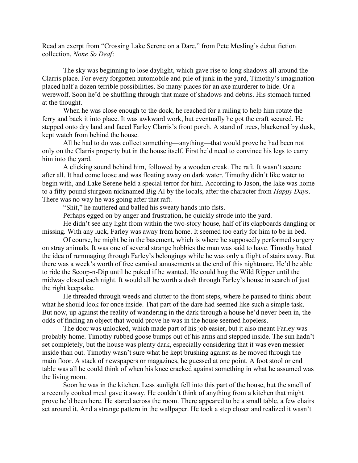Read an exerpt from "Crossing Lake Serene on a Dare," from Pete Mesling's debut fiction collection, None So Deaf:

The sky was beginning to lose daylight, which gave rise to long shadows all around the Clarris place. For every forgotten automobile and pile of junk in the yard, Timothy's imagination placed half a dozen terrible possibilities. So many places for an axe murderer to hide. Or a werewolf. Soon he'd be shuffling through that maze of shadows and debris. His stomach turned at the thought.

 When he was close enough to the dock, he reached for a railing to help him rotate the ferry and back it into place. It was awkward work, but eventually he got the craft secured. He stepped onto dry land and faced Farley Clarris's front porch. A stand of trees, blackened by dusk, kept watch from behind the house.

 All he had to do was collect something—anything—that would prove he had been not only on the Clarris property but in the house itself. First he'd need to convince his legs to carry him into the yard.

 A clicking sound behind him, followed by a wooden creak. The raft. It wasn't secure after all. It had come loose and was floating away on dark water. Timothy didn't like water to begin with, and Lake Serene held a special terror for him. According to Jason, the lake was home to a fifty-pound sturgeon nicknamed Big Al by the locals, after the character from *Happy Days*. There was no way he was going after that raft.

"Shit," he muttered and balled his sweaty hands into fists.

Perhaps egged on by anger and frustration, he quickly strode into the yard.

 He didn't see any light from within the two-story house, half of its clapboards dangling or missing. With any luck, Farley was away from home. It seemed too early for him to be in bed.

 Of course, he might be in the basement, which is where he supposedly performed surgery on stray animals. It was one of several strange hobbies the man was said to have. Timothy hated the idea of rummaging through Farley's belongings while he was only a flight of stairs away. But there was a week's worth of free carnival amusements at the end of this nightmare. He'd be able to ride the Scoop-n-Dip until he puked if he wanted. He could hog the Wild Ripper until the midway closed each night. It would all be worth a dash through Farley's house in search of just the right keepsake.

 He threaded through weeds and clutter to the front steps, where he paused to think about what he should look for once inside. That part of the dare had seemed like such a simple task. But now, up against the reality of wandering in the dark through a house he'd never been in, the odds of finding an object that would prove he was in the house seemed hopeless.

 The door was unlocked, which made part of his job easier, but it also meant Farley was probably home. Timothy rubbed goose bumps out of his arms and stepped inside. The sun hadn't set completely, but the house was plenty dark, especially considering that it was even messier inside than out. Timothy wasn't sure what he kept brushing against as he moved through the main floor. A stack of newspapers or magazines, he guessed at one point. A foot stool or end table was all he could think of when his knee cracked against something in what he assumed was the living room.

 Soon he was in the kitchen. Less sunlight fell into this part of the house, but the smell of a recently cooked meal gave it away. He couldn't think of anything from a kitchen that might prove he'd been here. He stared across the room. There appeared to be a small table, a few chairs set around it. And a strange pattern in the wallpaper. He took a step closer and realized it wasn't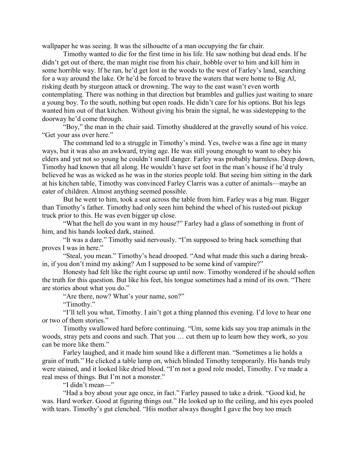wallpaper he was seeing. It was the silhouette of a man occupying the far chair.

 Timothy wanted to die for the first time in his life. He saw nothing but dead ends. If he didn't get out of there, the man might rise from his chair, hobble over to him and kill him in some horrible way. If he ran, he'd get lost in the woods to the west of Farley's land, searching for a way around the lake. Or he'd be forced to brave the waters that were home to Big Al, risking death by sturgeon attack or drowning. The way to the east wasn't even worth contemplating. There was nothing in that direction but brambles and gullies just waiting to snare a young boy. To the south, nothing but open roads. He didn't care for his options. But his legs wanted him out of that kitchen. Without giving his brain the signal, he was sidestepping to the doorway he'd come through.

 "Boy," the man in the chair said. Timothy shuddered at the gravelly sound of his voice. "Get your ass over here."

 The command led to a struggle in Timothy's mind. Yes, twelve was a fine age in many ways, but it was also an awkward, trying age. He was still young enough to want to obey his elders and yet not so young he couldn't smell danger. Farley was probably harmless. Deep down, Timothy had known that all along. He wouldn't have set foot in the man's house if he'd truly believed he was as wicked as he was in the stories people told. But seeing him sitting in the dark at his kitchen table, Timothy was convinced Farley Clarris was a cutter of animals—maybe an eater of children. Almost anything seemed possible.

 But he went to him, took a seat across the table from him. Farley was a big man. Bigger than Timothy's father. Timothy had only seen him behind the wheel of his rusted-out pickup truck prior to this. He was even bigger up close.

 "What the hell do you want in my house?" Farley had a glass of something in front of him, and his hands looked dark, stained.

 "It was a dare." Timothy said nervously. "I'm supposed to bring back something that proves I was in here."

 "Steal, you mean." Timothy's head drooped. "And what made this such a daring breakin, if you don't mind my asking? Am I supposed to be some kind of vampire?"

 Honesty had felt like the right course up until now. Timothy wondered if he should soften the truth for this question. But like his feet, his tongue sometimes had a mind of its own. "There are stories about what you do."

"Are there, now? What's your name, son?"

"Timothy."

 "I'll tell you what, Timothy. I ain't got a thing planned this evening. I'd love to hear one or two of them stories."

 Timothy swallowed hard before continuing. "Um, some kids say you trap animals in the woods, stray pets and coons and such. That you … cut them up to learn how they work, so you can be more like them."

 Farley laughed, and it made him sound like a different man. "Sometimes a lie holds a grain of truth." He clicked a table lamp on, which blinded Timothy temporarily. His hands truly were stained, and it looked like dried blood. "I'm not a good role model, Timothy. I've made a real mess of things. But I'm not a monster."

"I didn't mean—"

 "Had a boy about your age once, in fact." Farley paused to take a drink. "Good kid, he was. Hard worker. Good at figuring things out." He looked up to the ceiling, and his eyes pooled with tears. Timothy's gut clenched. "His mother always thought I gave the boy too much